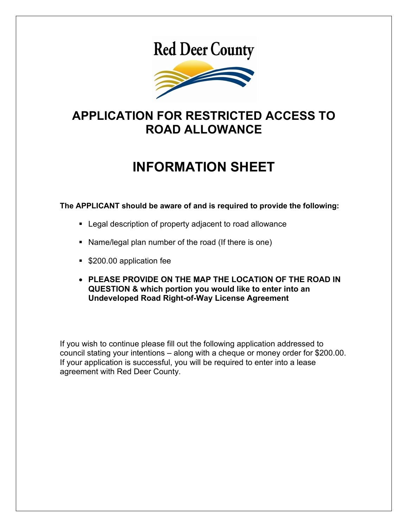# **Red Deer County**



### **APPLICATION FOR RESTRICTED ACCESS TO ROAD ALLOWANCE**

## **INFORMATION SHEET**

**The APPLICANT should be aware of and is required to provide the following:**

- **EXEC** Legal description of property adjacent to road allowance
- Name/legal plan number of the road (If there is one)
- **\$200.00 application fee**
- **PLEASE PROVIDE ON THE MAP THE LOCATION OF THE ROAD IN QUESTION & which portion you would like to enter into an Undeveloped Road Right-of-Way License Agreement**

If you wish to continue please fill out the following application addressed to council stating your intentions – along with a cheque or money order for \$200.00. If your application is successful, you will be required to enter into a lease agreement with Red Deer County.